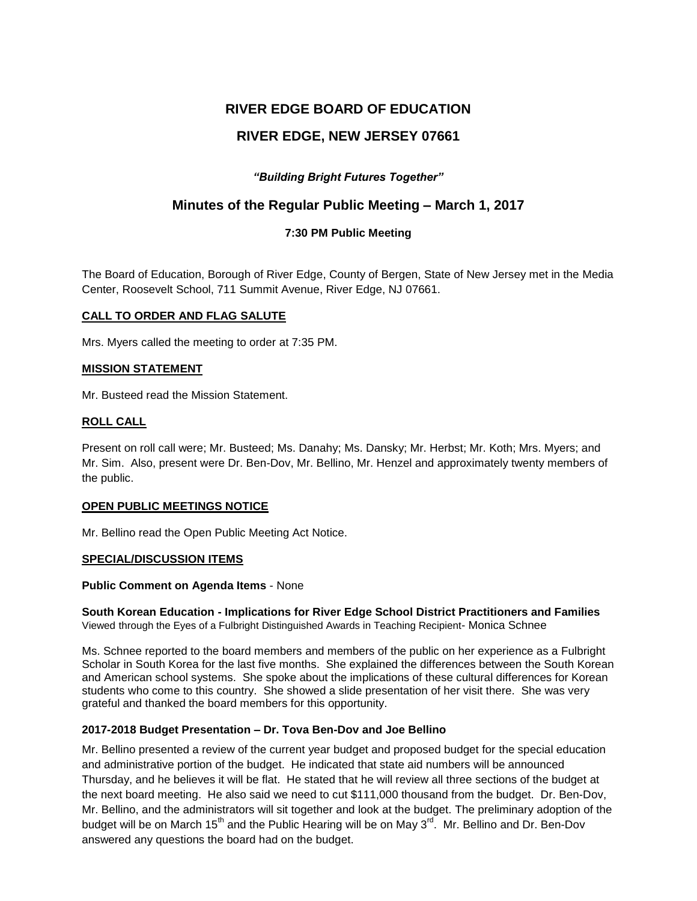# **RIVER EDGE BOARD OF EDUCATION RIVER EDGE, NEW JERSEY 07661**

# *"Building Bright Futures Together"*

# **Minutes of the Regular Public Meeting – March 1, 2017**

# **7:30 PM Public Meeting**

The Board of Education, Borough of River Edge, County of Bergen, State of New Jersey met in the Media Center, Roosevelt School, 711 Summit Avenue, River Edge, NJ 07661.

# **CALL TO ORDER AND FLAG SALUTE**

Mrs. Myers called the meeting to order at 7:35 PM.

# **MISSION STATEMENT**

Mr. Busteed read the Mission Statement.

# **ROLL CALL**

Present on roll call were; Mr. Busteed; Ms. Danahy; Ms. Dansky; Mr. Herbst; Mr. Koth; Mrs. Myers; and Mr. Sim. Also, present were Dr. Ben-Dov, Mr. Bellino, Mr. Henzel and approximately twenty members of the public.

# **OPEN PUBLIC MEETINGS NOTICE**

Mr. Bellino read the Open Public Meeting Act Notice.

# **SPECIAL/DISCUSSION ITEMS**

#### **Public Comment on Agenda Items** - None

**South Korean Education - Implications for River Edge School District Practitioners and Families**  Viewed through the Eyes of a Fulbright Distinguished Awards in Teaching Recipient- Monica Schnee

Ms. Schnee reported to the board members and members of the public on her experience as a Fulbright Scholar in South Korea for the last five months. She explained the differences between the South Korean and American school systems. She spoke about the implications of these cultural differences for Korean students who come to this country. She showed a slide presentation of her visit there. She was very grateful and thanked the board members for this opportunity.

# **2017-2018 Budget Presentation – Dr. Tova Ben-Dov and Joe Bellino**

Mr. Bellino presented a review of the current year budget and proposed budget for the special education and administrative portion of the budget. He indicated that state aid numbers will be announced Thursday, and he believes it will be flat. He stated that he will review all three sections of the budget at the next board meeting. He also said we need to cut \$111,000 thousand from the budget. Dr. Ben-Dov, Mr. Bellino, and the administrators will sit together and look at the budget. The preliminary adoption of the budget will be on March 15<sup>th</sup> and the Public Hearing will be on May 3<sup>rd</sup>. Mr. Bellino and Dr. Ben-Dov answered any questions the board had on the budget.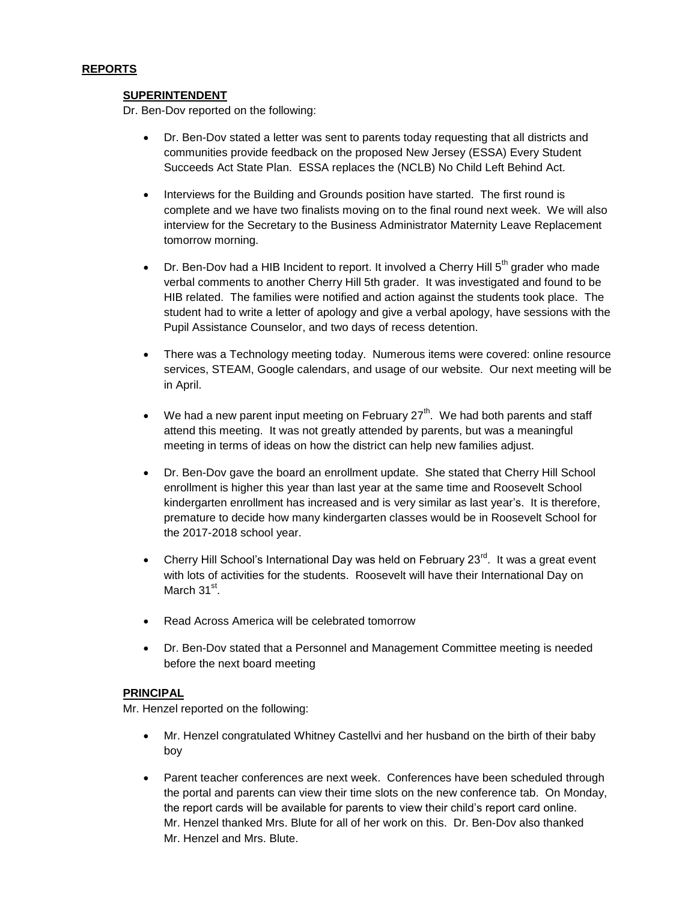#### **REPORTS**

#### **SUPERINTENDENT**

Dr. Ben-Dov reported on the following:

- Dr. Ben-Dov stated a letter was sent to parents today requesting that all districts and communities provide feedback on the proposed New Jersey (ESSA) Every Student Succeeds Act State Plan. ESSA replaces the (NCLB) No Child Left Behind Act.
- Interviews for the Building and Grounds position have started. The first round is complete and we have two finalists moving on to the final round next week. We will also interview for the Secretary to the Business Administrator Maternity Leave Replacement tomorrow morning.
- Dr. Ben-Dov had a HIB Incident to report. It involved a Cherry Hill  $5<sup>th</sup>$  grader who made verbal comments to another Cherry Hill 5th grader. It was investigated and found to be HIB related. The families were notified and action against the students took place. The student had to write a letter of apology and give a verbal apology, have sessions with the Pupil Assistance Counselor, and two days of recess detention.
- There was a Technology meeting today. Numerous items were covered: online resource services, STEAM, Google calendars, and usage of our website. Our next meeting will be in April.
- We had a new parent input meeting on February  $27<sup>th</sup>$ . We had both parents and staff attend this meeting. It was not greatly attended by parents, but was a meaningful meeting in terms of ideas on how the district can help new families adjust.
- Dr. Ben-Dov gave the board an enrollment update. She stated that Cherry Hill School enrollment is higher this year than last year at the same time and Roosevelt School kindergarten enrollment has increased and is very similar as last year's. It is therefore, premature to decide how many kindergarten classes would be in Roosevelt School for the 2017-2018 school year.
- Cherry Hill School's International Day was held on February  $23^{\text{rd}}$ . It was a great event with lots of activities for the students. Roosevelt will have their International Day on March 31<sup>st</sup>.
- Read Across America will be celebrated tomorrow
- Dr. Ben-Dov stated that a Personnel and Management Committee meeting is needed before the next board meeting

#### **PRINCIPAL**

Mr. Henzel reported on the following:

- Mr. Henzel congratulated Whitney Castellvi and her husband on the birth of their baby boy
- Parent teacher conferences are next week. Conferences have been scheduled through the portal and parents can view their time slots on the new conference tab. On Monday, the report cards will be available for parents to view their child's report card online. Mr. Henzel thanked Mrs. Blute for all of her work on this. Dr. Ben-Dov also thanked Mr. Henzel and Mrs. Blute.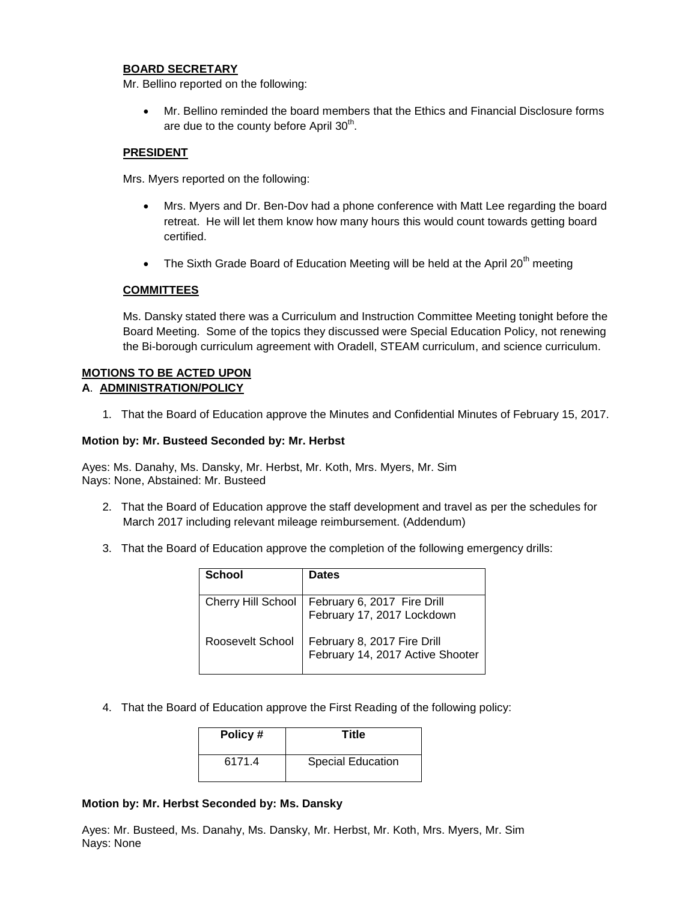#### **BOARD SECRETARY**

Mr. Bellino reported on the following:

 Mr. Bellino reminded the board members that the Ethics and Financial Disclosure forms are due to the county before April  $30<sup>th</sup>$ .

#### **PRESIDENT**

Mrs. Myers reported on the following:

- Mrs. Myers and Dr. Ben-Dov had a phone conference with Matt Lee regarding the board retreat. He will let them know how many hours this would count towards getting board certified.
- The Sixth Grade Board of Education Meeting will be held at the April 20<sup>th</sup> meeting

#### **COMMITTEES**

Ms. Dansky stated there was a Curriculum and Instruction Committee Meeting tonight before the Board Meeting. Some of the topics they discussed were Special Education Policy, not renewing the Bi-borough curriculum agreement with Oradell, STEAM curriculum, and science curriculum.

#### **MOTIONS TO BE ACTED UPON A**. **ADMINISTRATION/POLICY**

1. That the Board of Education approve the Minutes and Confidential Minutes of February 15, 2017.

#### **Motion by: Mr. Busteed Seconded by: Mr. Herbst**

Ayes: Ms. Danahy, Ms. Dansky, Mr. Herbst, Mr. Koth, Mrs. Myers, Mr. Sim Nays: None, Abstained: Mr. Busteed

- 2. That the Board of Education approve the staff development and travel as per the schedules for March 2017 including relevant mileage reimbursement. (Addendum)
- 3. That the Board of Education approve the completion of the following emergency drills:

| School           | <b>Dates</b>                                                                     |
|------------------|----------------------------------------------------------------------------------|
|                  | Cherry Hill School   February 6, 2017 Fire Drill<br>  February 17, 2017 Lockdown |
| Roosevelt School | February 8, 2017 Fire Drill<br>February 14, 2017 Active Shooter                  |

4. That the Board of Education approve the First Reading of the following policy:

| Policy# | <b>Title</b>             |
|---------|--------------------------|
| 6171.4  | <b>Special Education</b> |

#### **Motion by: Mr. Herbst Seconded by: Ms. Dansky**

Ayes: Mr. Busteed, Ms. Danahy, Ms. Dansky, Mr. Herbst, Mr. Koth, Mrs. Myers, Mr. Sim Nays: None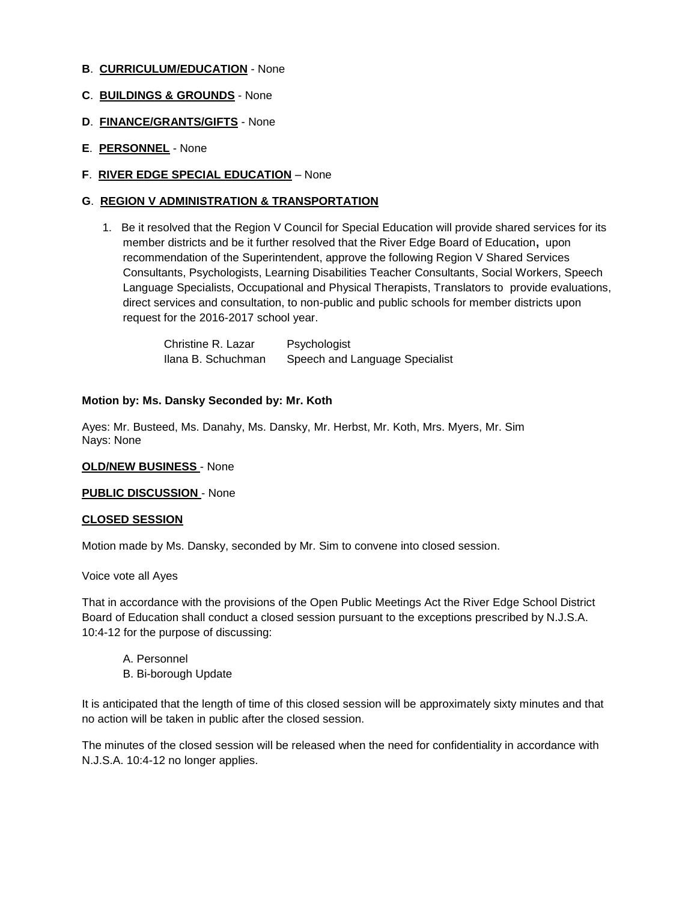- **B**. **CURRICULUM/EDUCATION** None
- **C**. **BUILDINGS & GROUNDS** None
- **D**. **FINANCE/GRANTS/GIFTS** None
- **E**. **PERSONNEL** None
- **F**. **RIVER EDGE SPECIAL EDUCATION** None

# **G**. **REGION V ADMINISTRATION & TRANSPORTATION**

1. Be it resolved that the Region V Council for Special Education will provide shared services for its member districts and be it further resolved that the River Edge Board of Education**,** upon recommendation of the Superintendent, approve the following Region V Shared Services Consultants, Psychologists, Learning Disabilities Teacher Consultants, Social Workers, Speech Language Specialists, Occupational and Physical Therapists, Translators to provide evaluations, direct services and consultation, to non-public and public schools for member districts upon request for the 2016-2017 school year.

| Christine R. Lazar | Psychologist                   |
|--------------------|--------------------------------|
| Ilana B. Schuchman | Speech and Language Specialist |

#### **Motion by: Ms. Dansky Seconded by: Mr. Koth**

Ayes: Mr. Busteed, Ms. Danahy, Ms. Dansky, Mr. Herbst, Mr. Koth, Mrs. Myers, Mr. Sim Nays: None

#### **OLD/NEW BUSINESS** - None

**PUBLIC DISCUSSION** - None

#### **CLOSED SESSION**

Motion made by Ms. Dansky, seconded by Mr. Sim to convene into closed session.

#### Voice vote all Ayes

That in accordance with the provisions of the Open Public Meetings Act the River Edge School District Board of Education shall conduct a closed session pursuant to the exceptions prescribed by N.J.S.A. 10:4-12 for the purpose of discussing:

- A. Personnel
- B. Bi-borough Update

It is anticipated that the length of time of this closed session will be approximately sixty minutes and that no action will be taken in public after the closed session.

The minutes of the closed session will be released when the need for confidentiality in accordance with N.J.S.A. 10:4-12 no longer applies.